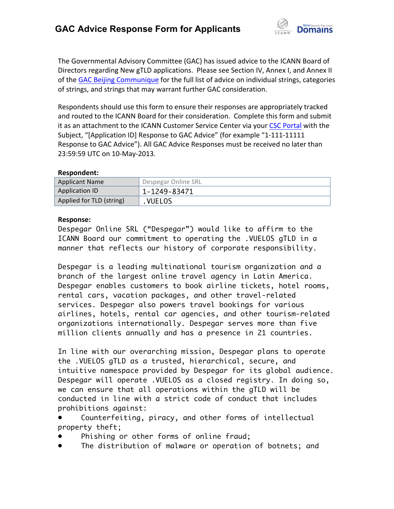

The Governmental Advisory Committee (GAC) has issued advice to the ICANN Board of Directors regarding New gTLD applications. Please see Section IV, Annex I, and Annex II of the GAC Beijing Communique for the full list of advice on individual strings, categories of strings, and strings that may warrant further GAC consideration.

Respondents should use this form to ensure their responses are appropriately tracked and routed to the ICANN Board for their consideration. Complete this form and submit it as an attachment to the ICANN Customer Service Center via your CSC Portal with the Subject, "[Application ID] Response to GAC Advice" (for example "1-111-11111 Response to GAC Advice"). All GAC Advice Responses must be received no later than 23:59:59 UTC on 10-May-2013.

## **Respondent:**

| <b>Applicant Name</b>    | Despegar Online SRL |
|--------------------------|---------------------|
| Application ID           | 1-1249-83471        |
| Applied for TLD (string) | <b>VUELOS</b>       |

## **Response:**

Despegar Online SRL ("Despegar") would like to affirm to the ICANN Board our commitment to operating the .VUELOS gTLD in a manner that reflects our history of corporate responsibility.

Despegar is a leading multinational tourism organization and a branch of the largest online travel agency in Latin America. Despegar enables customers to book airline tickets, hotel rooms, rental cars, vacation packages, and other travel-related services. Despegar also powers travel bookings for various airlines, hotels, rental car agencies, and other tourism-related organizations internationally. Despegar serves more than five million clients annually and has a presence in 21 countries.

In line with our overarching mission, Despegar plans to operate the .VUELOS gTLD as a trusted, hierarchical, secure, and intuitive namespace provided by Despegar for its global audience. Despegar will operate .VUELOS as a closed registry. In doing so, we can ensure that all operations within the gTLD will be conducted in line with a strict code of conduct that includes prohibitions against:

Counterfeiting, piracy, and other forms of intellectual property theft;

- Phishing or other forms of online fraud;
- The distribution of malware or operation of botnets; and